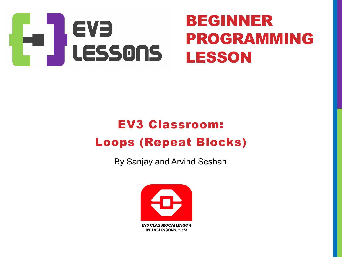

#### EV3 Classroom: Loops (Repeat Blocks)

By Sanjay and Arvind Seshan

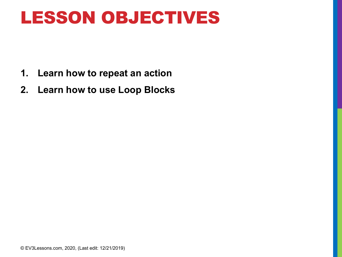### LESSON OBJECTIVES

- **1. Learn how to repeat an action**
- **2. Learn how to use Loop Blocks**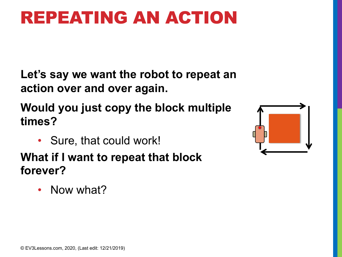## REPEATING AN ACTION

**Let's say we want the robot to repeat an action over and over again.**

**Would you just copy the block multiple times?**

• Sure, that could work!

**What if I want to repeat that block forever?** 

• Now what?

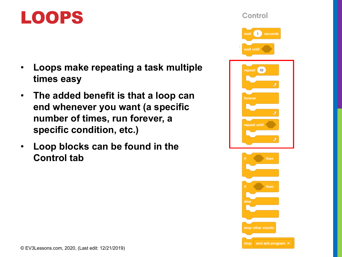#### LOOPS

- **Loops make repeating a task multiple times easy**
- **The added benefit is that a loop can end whenever you want (a specific number of times, run forever, a specific condition, etc.)**
- **Loop blocks can be found in the Control tab**

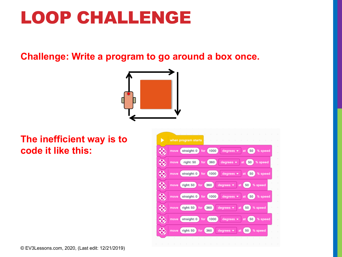## LOOP CHALLENGE

**Challenge: Write a program to go around a box once.**



**The inefficient way is to code it like this:**

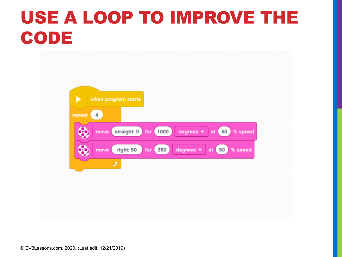# USE A LOOP TO IMPROVE THE CODE